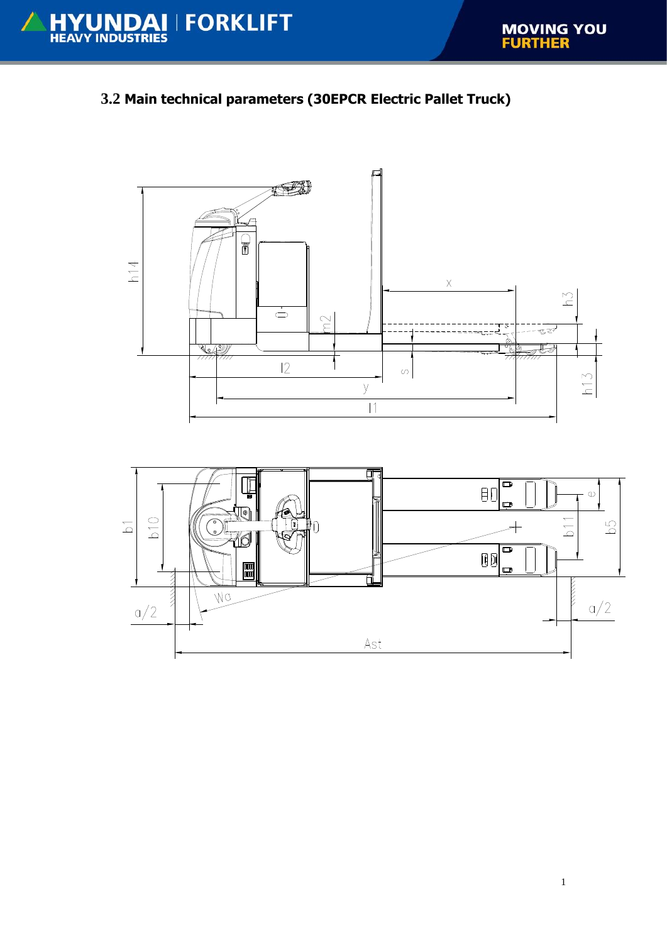## **3.2 Main technical parameters (30EPCR Electric Pallet Truck)**



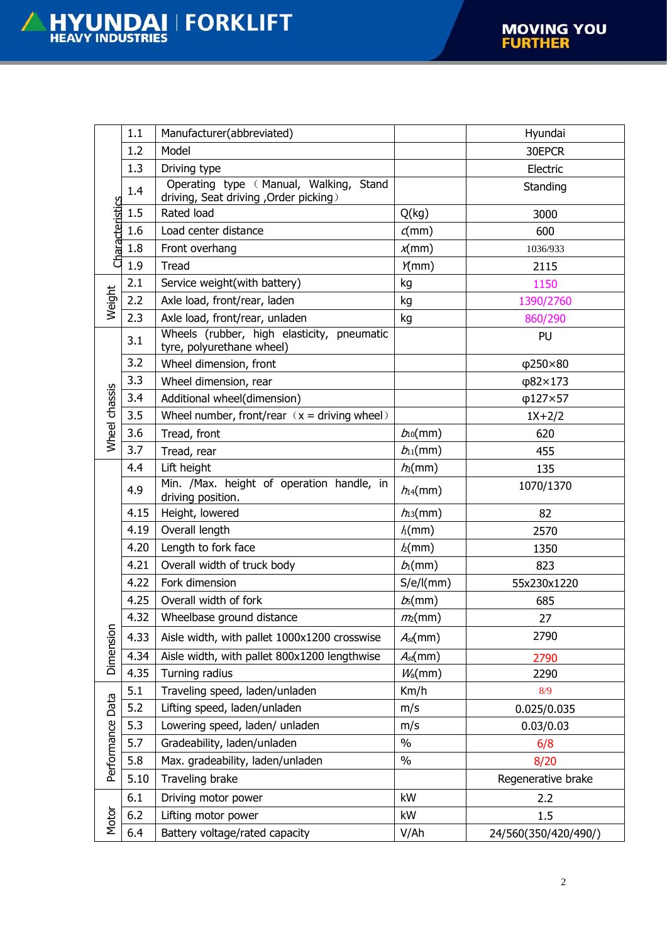|                           | 1.1  | Manufacturer(abbreviated)                                                       |                     | Hyundai              |
|---------------------------|------|---------------------------------------------------------------------------------|---------------------|----------------------|
| Characteristics<br>Weight | 1.2  | Model                                                                           |                     | 30EPCR               |
|                           | 1.3  | Driving type                                                                    |                     | Electric             |
|                           | 1.4  | Operating type (Manual, Walking, Stand<br>driving, Seat driving, Order picking) |                     | Standing             |
|                           | 1.5  | Rated load                                                                      | Q(kg)               | 3000                 |
|                           | 1.6  | Load center distance                                                            | $\sigma$ (mm)       | 600                  |
|                           | 1.8  | Front overhang                                                                  | $x$ (mm)            | 1036/933             |
|                           | 1.9  | <b>Tread</b>                                                                    | Y(mm)               | 2115                 |
|                           | 2.1  | Service weight(with battery)                                                    | kg                  | 1150                 |
|                           | 2.2  | Axle load, front/rear, laden                                                    | kg                  | 1390/2760            |
|                           | 2.3  | Axle load, front/rear, unladen                                                  | kg                  | 860/290              |
|                           | 3.1  | Wheels (rubber, high elasticity, pneumatic<br>tyre, polyurethane wheel)         |                     | PU                   |
|                           | 3.2  | Wheel dimension, front                                                          |                     | $\phi$ 250×80        |
|                           | 3.3  | Wheel dimension, rear                                                           |                     | φ82×173              |
|                           | 3.4  | Additional wheel(dimension)                                                     |                     | φ127×57              |
|                           | 3.5  | Wheel number, front/rear $(x =$ driving wheel)                                  |                     | $1X+2/2$             |
| Wheel chassis             | 3.6  | Tread, front                                                                    | $b_{10}(mm)$        | 620                  |
|                           | 3.7  | Tread, rear                                                                     | $b_{11}$ (mm)       | 455                  |
|                           | 4.4  | Lift height                                                                     | $h_3$ (mm)          | 135                  |
|                           | 4.9  | Min. /Max. height of operation handle, in<br>driving position.                  | $h_4$ (mm)          | 1070/1370            |
|                           | 4.15 | Height, lowered                                                                 | $h_3$ (mm)          | 82                   |
|                           | 4.19 | Overall length                                                                  | $h$ (mm)            | 2570                 |
|                           | 4.20 | Length to fork face                                                             | h(mm)               | 1350                 |
|                           | 4.21 | Overall width of truck body                                                     | $b_1$ (mm)          | 823                  |
|                           | 4.22 | Fork dimension                                                                  | S/e/I(mm)           | 55x230x1220          |
|                           | 4.25 | Overall width of fork                                                           | $b_5$ (mm)          | 685                  |
|                           | 4.32 | Wheelbase ground distance                                                       | m <sub>2</sub> (mm) | 27                   |
| Dimension                 | 4.33 | Aisle width, with pallet 1000x1200 crosswise                                    | $A_{st}$ (mm)       | 2790                 |
|                           | 4.34 | Aisle width, with pallet 800x1200 lengthwise                                    | $A_{st}$ (mm)       | 2790                 |
|                           | 4.35 | Turning radius                                                                  | W <sub>a</sub> (mm) | 2290                 |
| Performance Data          | 5.1  | Traveling speed, laden/unladen                                                  | Km/h                | 8/9                  |
|                           | 5.2  | Lifting speed, laden/unladen                                                    | m/s                 | 0.025/0.035          |
|                           | 5.3  | Lowering speed, laden/ unladen                                                  | m/s                 | 0.03/0.03            |
|                           | 5.7  | Gradeability, laden/unladen                                                     | $\%$                | 6/8                  |
|                           | 5.8  | Max. gradeability, laden/unladen                                                | $\%$                | 8/20                 |
|                           | 5.10 | Traveling brake                                                                 |                     | Regenerative brake   |
| Motor                     | 6.1  | Driving motor power                                                             | kW                  | 2.2                  |
|                           | 6.2  | Lifting motor power                                                             | kW                  | 1.5                  |
|                           | 6.4  | Battery voltage/rated capacity                                                  | V/Ah                | 24/560(350/420/490/) |